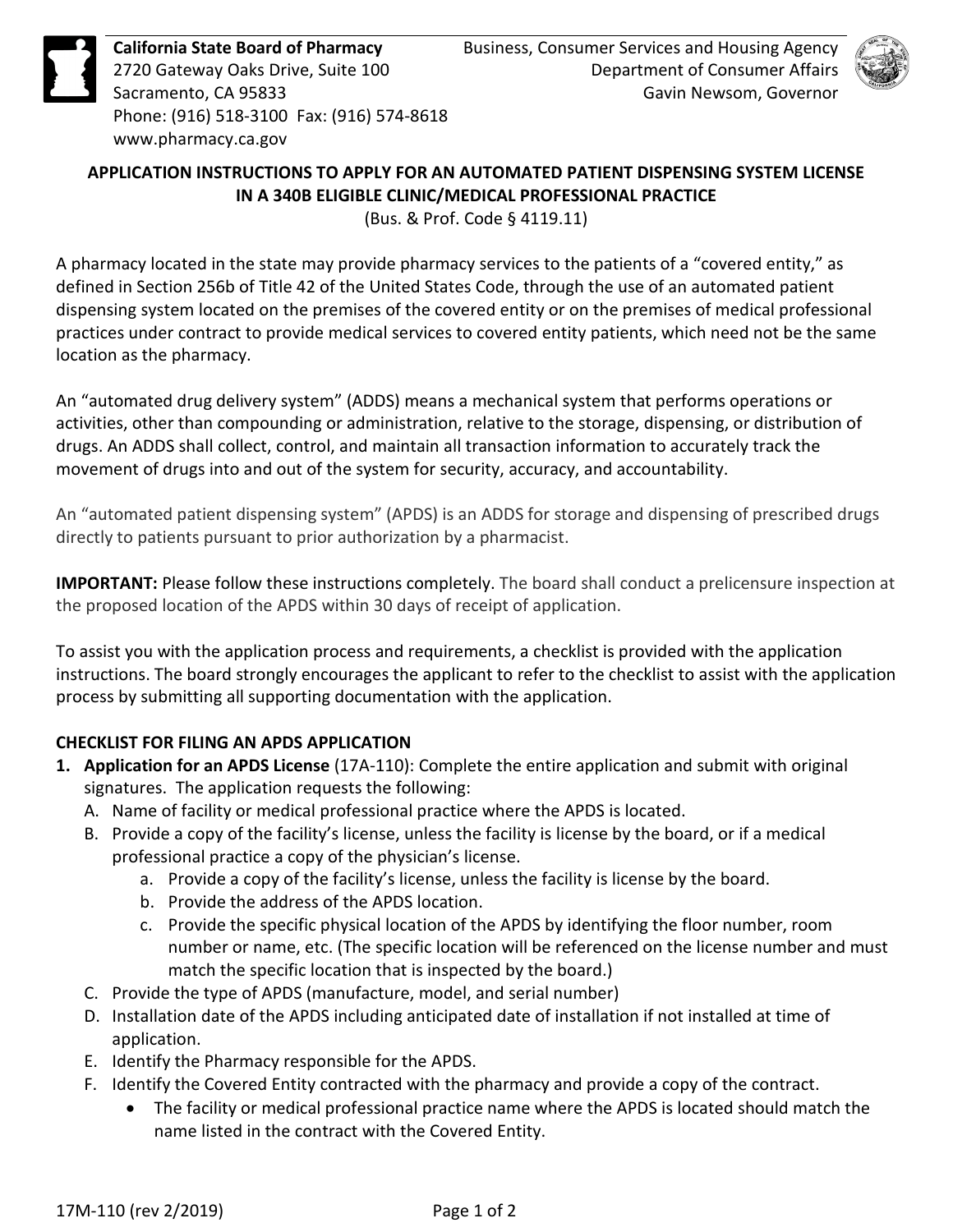

**California State Board of Pharmacy**  2720 Gateway Oaks Drive, Suite 100 Sacramento, CA 95833 Phone: (916) 518-3100 Fax: (916) 574-8618 <www.pharmacy.ca.gov>



# **APPLICATION INSTRUCTIONS TO APPLY FOR AN AUTOMATED PATIENT DISPENSING SYSTEM LICENSE IN A 340B ELIGIBLE CLINIC/MEDICAL PROFESSIONAL PRACTICE**

(Bus. & Prof. Code § 4119.11)

 A pharmacy located in the state may provide pharmacy services to the patients of a "covered entity," as dispensing system located on the premises of the covered entity or on the premises of medical professional practices under contract to provide medical services to covered entity patients, which need not be the same defined in Section 256b of Title 42 of the United States Code, through the use of an automated patient location as the pharmacy.

 activities, other than compounding or administration, relative to the storage, dispensing, or distribution of movement of drugs into and out of the system for security, accuracy, and accountability. An "automated drug delivery system" (ADDS) means a mechanical system that performs operations or drugs. An ADDS shall collect, control, and maintain all transaction information to accurately track the

 directly to patients pursuant to prior authorization by a pharmacist. An "automated patient dispensing system" (APDS) is an ADDS for storage and dispensing of prescribed drugs

**IMPORTANT:** Please follow these instructions completely. The board shall conduct a prelicensure inspection at the proposed location of the APDS within 30 days of receipt of application.

 instructions. The board strongly encourages the applicant to refer to the checklist to assist with the application To assist you with the application process and requirements, a checklist is provided with the application process by submitting all supporting documentation with the application.

# **CHECKLIST FOR FILING AN APDS APPLICATION**

- **1. Application for an APDS License** (17A-110): Complete the entire application and submit with original signatures. The application requests the following:
	- A. Name of facility or medical professional practice where the APDS is located.
	- B. Provide a copy of the facility's license, unless the facility is license by the board, or if a medical professional practice a copy of the physician's license.
		- a. Provide a copy of the facility's license, unless the facility is license by the board.
		- b. Provide the address of the APDS location.
		- c. Provide the specific physical location of the APDS by identifying the floor number, room number or name, etc. (The specific location will be referenced on the license number and must match the specific location that is inspected by the board.)
	- C. Provide the type of APDS (manufacture, model, and serial number)
	- D. Installation date of the APDS including anticipated date of installation if not installed at time of application.
	- E. Identify the Pharmacy responsible for the APDS.
	- F. Identify the Covered Entity contracted with the pharmacy and provide a copy of the contract.
		- • The facility or medical professional practice name where the APDS is located should match the name listed in the contract with the Covered Entity.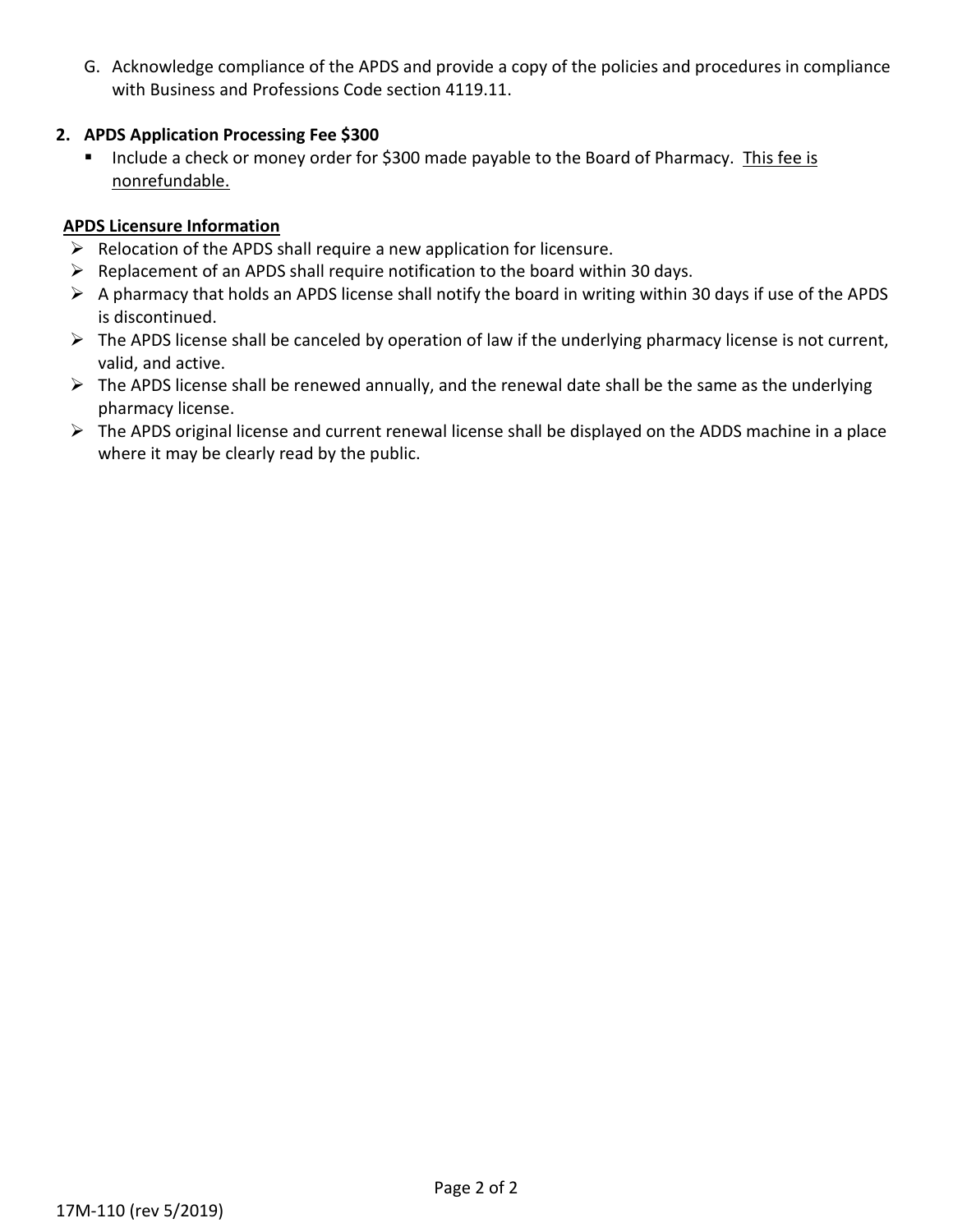G. Acknowledge compliance of the APDS and provide a copy of the policies and procedures in compliance with Business and Professions Code section 4119.11.

### **2. APDS Application Processing Fee \$300**

Include a check or money order for \$300 made payable to the Board of Pharmacy. This fee is nonrefundable.

## **APDS Licensure Information**

- $\triangleright$  Relocation of the APDS shall require a new application for licensure.
- $\triangleright$  Replacement of an APDS shall require notification to the board within 30 days.
- $\triangleright$  A pharmacy that holds an APDS license shall notify the board in writing within 30 days if use of the APDS is discontinued.
- $\triangleright$  The APDS license shall be canceled by operation of law if the underlying pharmacy license is not current, valid, and active.
- $\triangleright$  The APDS license shall be renewed annually, and the renewal date shall be the same as the underlying pharmacy license.
- $\triangleright$  The APDS original license and current renewal license shall be displayed on the ADDS machine in a place where it may be clearly read by the public.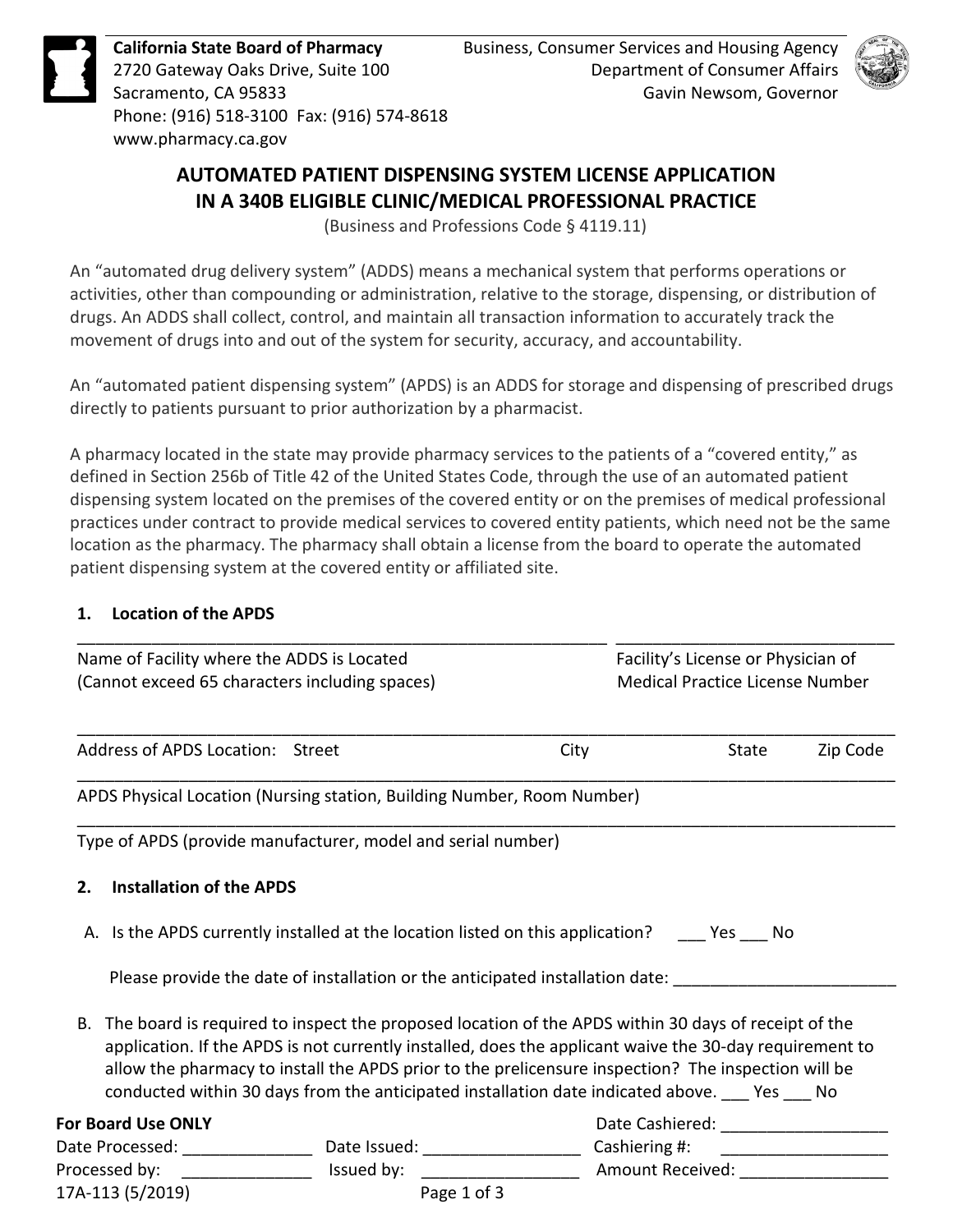

**California State Board of Pharmacy**  2720 Gateway Oaks Drive, Suite 100 Sacramento, CA 95833 Phone: (916) 518-3100 Fax: (916) 574-8618 <www.pharmacy.ca.gov>



# **AUTOMATED PATIENT DISPENSING SYSTEM LICENSE APPLICATION IN A 340B ELIGIBLE CLINIC/MEDICAL PROFESSIONAL PRACTICE**

(Business and Professions Code § 4119.11)

 An "automated drug delivery system" (ADDS) means a mechanical system that performs operations or activities, other than compounding or administration, relative to the storage, dispensing, or distribution of drugs. An ADDS shall collect, control, and maintain all transaction information to accurately track the movement of drugs into and out of the system for security, accuracy, and accountability.

 directly to patients pursuant to prior authorization by a pharmacist. An "automated patient dispensing system" (APDS) is an ADDS for storage and dispensing of prescribed drugs

 A pharmacy located in the state may provide pharmacy services to the patients of a "covered entity," as dispensing system located on the premises of the covered entity or on the premises of medical professional practices under contract to provide medical services to covered entity patients, which need not be the same defined in Section 256b of Title 42 of the United States Code, through the use of an automated patient location as the pharmacy. The pharmacy shall obtain a license from the board to operate the automated patient dispensing system at the covered entity or affiliated site.

# **1. Location of the APDS**

| Name of Facility where the ADDS is Located |                                                                                                                                                                                                                                                                                                                                                                                                                          | Facility's License or Physician of     |                               |          |
|--------------------------------------------|--------------------------------------------------------------------------------------------------------------------------------------------------------------------------------------------------------------------------------------------------------------------------------------------------------------------------------------------------------------------------------------------------------------------------|----------------------------------------|-------------------------------|----------|
|                                            | (Cannot exceed 65 characters including spaces)                                                                                                                                                                                                                                                                                                                                                                           | <b>Medical Practice License Number</b> |                               |          |
| Address of APDS Location: Street           |                                                                                                                                                                                                                                                                                                                                                                                                                          | City                                   | State                         | Zip Code |
|                                            | APDS Physical Location (Nursing station, Building Number, Room Number)                                                                                                                                                                                                                                                                                                                                                   |                                        |                               |          |
|                                            | Type of APDS (provide manufacturer, model and serial number)                                                                                                                                                                                                                                                                                                                                                             |                                        |                               |          |
| <b>Installation of the APDS</b><br>2.      |                                                                                                                                                                                                                                                                                                                                                                                                                          |                                        |                               |          |
|                                            | A. Is the APDS currently installed at the location listed on this application? _____ Yes ____ No                                                                                                                                                                                                                                                                                                                         |                                        |                               |          |
|                                            | Please provide the date of installation or the anticipated installation date:                                                                                                                                                                                                                                                                                                                                            |                                        |                               |          |
| В.                                         | The board is required to inspect the proposed location of the APDS within 30 days of receipt of the<br>application. If the APDS is not currently installed, does the applicant waive the 30-day requirement to<br>allow the pharmacy to install the APDS prior to the prelicensure inspection? The inspection will be<br>conducted within 30 days from the anticipated installation date indicated above. ___ Yes ___ No |                                        |                               |          |
| <b>For Board Use ONLY</b>                  |                                                                                                                                                                                                                                                                                                                                                                                                                          |                                        |                               |          |
|                                            | Date Processed: _______________________________ Date Issued: ___________________                                                                                                                                                                                                                                                                                                                                         | Cashiering #:                          |                               |          |
| Processed by:                              | Issued by:                                                                                                                                                                                                                                                                                                                                                                                                               |                                        | Amount Received: ____________ |          |
| 17A-113 (5/2019)                           | Page 1 of 3                                                                                                                                                                                                                                                                                                                                                                                                              |                                        |                               |          |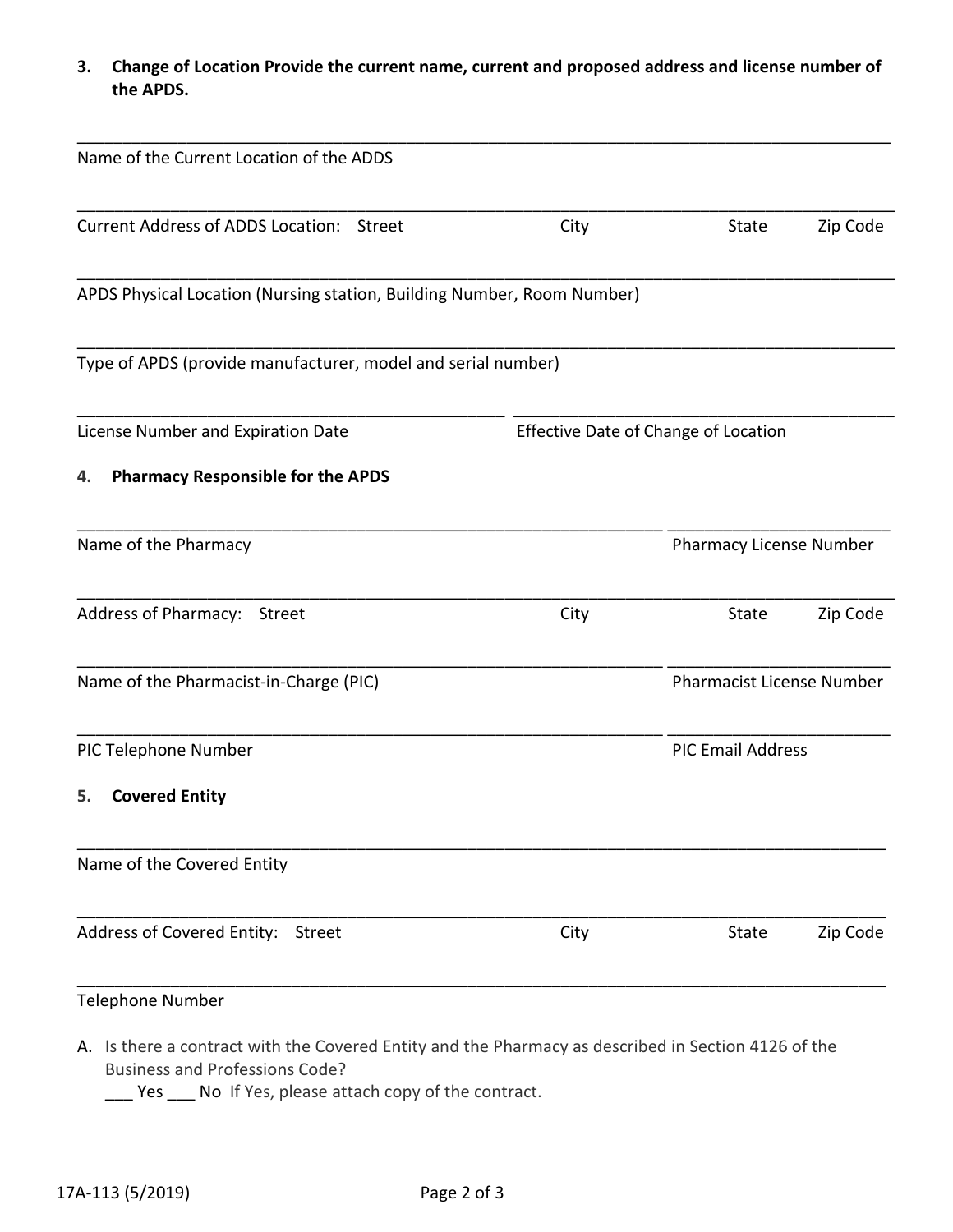**3. Change of Location Provide the current name, current and proposed address and license number of the APDS.** 

| Name of the Current Location of the ADDS                               |                                      |       |                                  |  |
|------------------------------------------------------------------------|--------------------------------------|-------|----------------------------------|--|
| Current Address of ADDS Location: Street                               | City                                 | State | Zip Code                         |  |
| APDS Physical Location (Nursing station, Building Number, Room Number) |                                      |       |                                  |  |
| Type of APDS (provide manufacturer, model and serial number)           |                                      |       |                                  |  |
| License Number and Expiration Date                                     | Effective Date of Change of Location |       |                                  |  |
| <b>Pharmacy Responsible for the APDS</b><br>4.                         |                                      |       |                                  |  |
| Name of the Pharmacy                                                   |                                      |       | Pharmacy License Number          |  |
| Address of Pharmacy: Street                                            | City                                 | State | Zip Code                         |  |
| Name of the Pharmacist-in-Charge (PIC)                                 |                                      |       | <b>Pharmacist License Number</b> |  |
| PIC Telephone Number                                                   | <b>PIC Email Address</b>             |       |                                  |  |
| <b>Covered Entity</b><br>5.                                            |                                      |       |                                  |  |
| Name of the Covered Entity                                             |                                      |       |                                  |  |
| Address of Covered Entity: Street                                      | City                                 | State | Zip Code                         |  |
| <b>Telephone Number</b>                                                |                                      |       |                                  |  |

A. Is there a contract with the Covered Entity and the Pharmacy as described in Section 4126 of the Business and Professions Code?

\_\_\_ Yes \_\_\_ No If Yes, please attach copy of the contract.